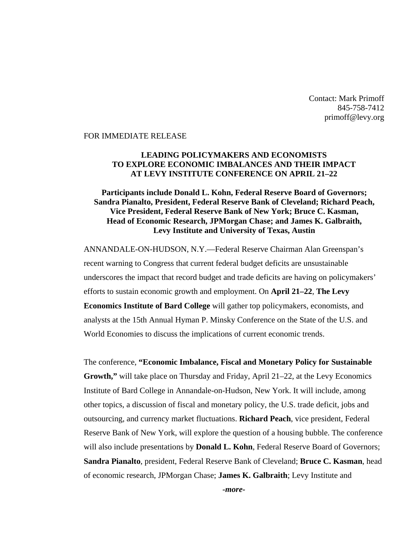Contact: Mark Primoff 845-758-7412 primoff@levy.org

#### FOR IMMEDIATE RELEASE

### **LEADING POLICYMAKERS AND ECONOMISTS TO EXPLORE ECONOMIC IMBALANCES AND THEIR IMPACT AT LEVY INSTITUTE CONFERENCE ON APRIL 21–22**

## **Participants include Donald L. Kohn, Federal Reserve Board of Governors; Sandra Pianalto, President, Federal Reserve Bank of Cleveland; Richard Peach, Vice President, Federal Reserve Bank of New York; Bruce C. Kasman, Head of Economic Research, JPMorgan Chase; and James K. Galbraith, Levy Institute and University of Texas, Austin**

ANNANDALE-ON-HUDSON, N.Y.—Federal Reserve Chairman Alan Greenspan's recent warning to Congress that current federal budget deficits are unsustainable underscores the impact that record budget and trade deficits are having on policymakers' efforts to sustain economic growth and employment. On **April 21–22**, **The Levy Economics Institute of Bard College** will gather top policymakers, economists, and analysts at the 15th Annual Hyman P. Minsky Conference on the State of the U.S. and World Economies to discuss the implications of current economic trends.

The conference, **"Economic Imbalance, Fiscal and Monetary Policy for Sustainable Growth,"** will take place on Thursday and Friday, April 21–22, at the Levy Economics Institute of Bard College in Annandale-on-Hudson, New York. It will include, among other topics, a discussion of fiscal and monetary policy, the U.S. trade deficit, jobs and outsourcing, and currency market fluctuations. **Richard Peach**, vice president, Federal Reserve Bank of New York, will explore the question of a housing bubble. The conference will also include presentations by **Donald L. Kohn**, Federal Reserve Board of Governors; **Sandra Pianalto**, president, Federal Reserve Bank of Cleveland; **Bruce C. Kasman**, head of economic research, JPMorgan Chase; **James K. Galbraith**; Levy Institute and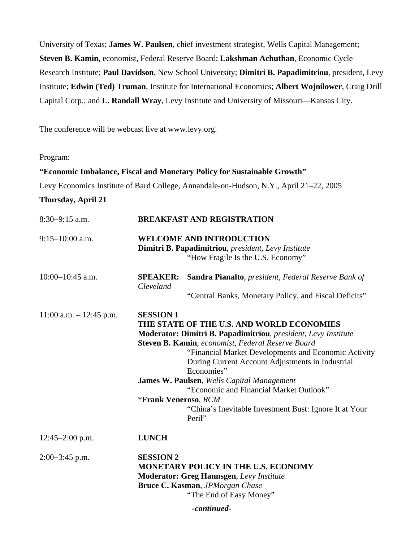University of Texas; **James W. Paulsen**, chief investment strategist, Wells Capital Management; **Steven B. Kamin**, economist, Federal Reserve Board; **Lakshman Achuthan**, Economic Cycle Research Institute; **Paul Davidson**, New School University; **Dimitri B. Papadimitriou**, president, Levy Institute; **Edwin (Ted) Truman**, Institute for International Economics; **Albert Wojnilower**, Craig Drill Capital Corp.; and **L. Randall Wray**, Levy Institute and University of Missouri—Kansas City.

The conference will be webcast live at www.levy.org.

Program:

**"Economic Imbalance, Fiscal and Monetary Policy for Sustainable Growth"**  Levy Economics Institute of Bard College, Annandale-on-Hudson, N.Y., April 21–22, 2005 **Thursday, April 21**  8:30−9:15 a.m. **BREAKFAST AND REGISTRATION** 9:15−10:00 a.m. **WELCOME AND INTRODUCTION Dimitri B. Papadimitriou**, *president, Levy Institute* "How Fragile Is the U.S. Economy" 10:00−10:45 a.m. **SPEAKER: Sandra Pianalto**, *president, Federal Reserve Bank of Cleveland*  "Central Banks, Monetary Policy, and Fiscal Deficits" 11:00 a.m. – 12:45 p.m. **SESSION 1 THE STATE OF THE U.S. AND WORLD ECONOMIES**

|                     | 1. A. J. JI IV JI I I I UA                             |  |  |
|---------------------|--------------------------------------------------------|--|--|
|                     | <b>James W. Paulsen, Wells Capital Management</b>      |  |  |
|                     | "Economic and Financial Market Outlook"                |  |  |
|                     | *Frank Veneroso, RCM                                   |  |  |
|                     | "China's Inevitable Investment Bust: Ignore It at Your |  |  |
|                     | Peril"                                                 |  |  |
| $12:45 - 2:00$ p.m. | <b>LUNCH</b>                                           |  |  |
| 2:00–3:45 p.m.      | <b>SESSION 2</b>                                       |  |  |
|                     | <b>MONETARY POLICY IN THE U.S. ECONOMY</b>             |  |  |
|                     | <b>Moderator: Greg Hannsgen, Levy Institute</b>        |  |  |
|                     | <b>Bruce C. Kasman</b> , <i>JPMorgan Chase</i>         |  |  |

Economies"

"The End of Easy Money"

**Moderator: Dimitri B. Papadimitriou**, *president, Levy Institute* 

"Financial Market Developments and Economic Activity

During Current Account Adjustments in Industrial

**Steven B. Kamin**, *economist, Federal Reserve Board* 

*-continued-*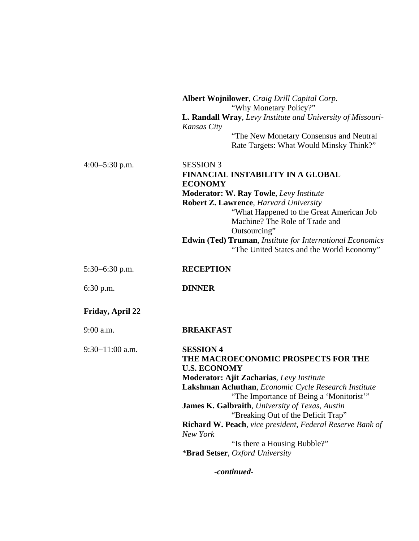|                   | Albert Wojnilower, Craig Drill Capital Corp.<br>"Why Monetary Policy?"<br>L. Randall Wray, Levy Institute and University of Missouri-<br>Kansas City<br>"The New Monetary Consensus and Neutral<br>Rate Targets: What Would Minsky Think?"                                                                                                                                                                                                                                                                 |
|-------------------|------------------------------------------------------------------------------------------------------------------------------------------------------------------------------------------------------------------------------------------------------------------------------------------------------------------------------------------------------------------------------------------------------------------------------------------------------------------------------------------------------------|
| $4:00-5:30$ p.m.  | <b>SESSION 3</b><br><b>FINANCIAL INSTABILITY IN A GLOBAL</b><br><b>ECONOMY</b><br><b>Moderator: W. Ray Towle, Levy Institute</b><br><b>Robert Z. Lawrence, Harvard University</b><br>"What Happened to the Great American Job<br>Machine? The Role of Trade and<br>Outsourcing"<br>Edwin (Ted) Truman, Institute for International Economics<br>"The United States and the World Economy"                                                                                                                  |
| $5:30-6:30$ p.m.  | <b>RECEPTION</b>                                                                                                                                                                                                                                                                                                                                                                                                                                                                                           |
| $6:30$ p.m.       | <b>DINNER</b>                                                                                                                                                                                                                                                                                                                                                                                                                                                                                              |
| Friday, April 22  |                                                                                                                                                                                                                                                                                                                                                                                                                                                                                                            |
| $9:00$ a.m.       | <b>BREAKFAST</b>                                                                                                                                                                                                                                                                                                                                                                                                                                                                                           |
| $9:30-11:00$ a.m. | <b>SESSION 4</b><br>THE MACROECONOMIC PROSPECTS FOR THE<br><b>U.S. ECONOMY</b><br><b>Moderator: Ajit Zacharias</b> , Levy Institute<br>Lakshman Achuthan, Economic Cycle Research Institute<br>"The Importance of Being a 'Monitorist'"<br><b>James K. Galbraith</b> , University of Texas, Austin<br>"Breaking Out of the Deficit Trap"<br><b>Richard W. Peach</b> , vice president, Federal Reserve Bank of<br>New York<br>"Is there a Housing Bubble?"<br><i><b>*Brad Setser, Oxford University</b></i> |

*-continued-*